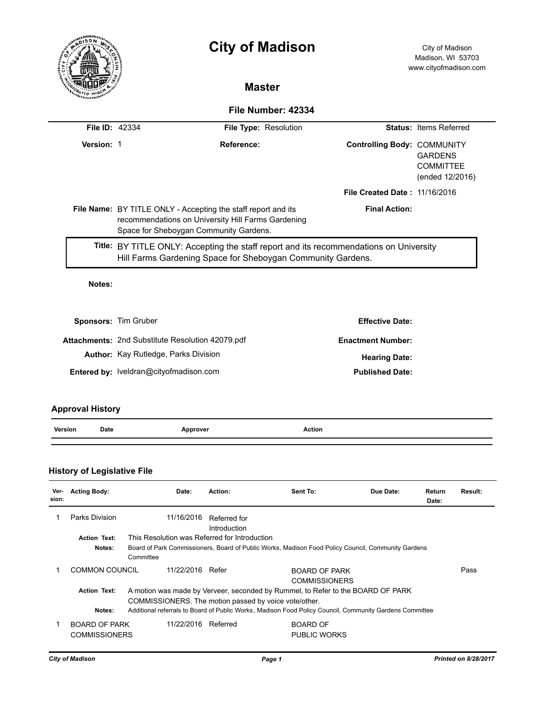|                      | <b>City of Madison</b>                                                                                                                                        |                       |                                      | City of Madison<br>Madison, WI 53703<br>www.cityofmadison.com |  |
|----------------------|---------------------------------------------------------------------------------------------------------------------------------------------------------------|-----------------------|--------------------------------------|---------------------------------------------------------------|--|
|                      |                                                                                                                                                               | <b>Master</b>         |                                      |                                                               |  |
|                      |                                                                                                                                                               | File Number: 42334    |                                      |                                                               |  |
| File ID: 42334       |                                                                                                                                                               | File Type: Resolution |                                      | <b>Status: Items Referred</b>                                 |  |
| Version: 1           |                                                                                                                                                               | Reference:            | <b>Controlling Body: COMMUNITY</b>   | <b>GARDENS</b><br><b>COMMITTEE</b><br>(ended 12/2016)         |  |
|                      |                                                                                                                                                               |                       | <b>File Created Date: 11/16/2016</b> |                                                               |  |
|                      | File Name: BY TITLE ONLY - Accepting the staff report and its<br>recommendations on University Hill Farms Gardening<br>Space for Sheboygan Community Gardens. |                       | <b>Final Action:</b>                 |                                                               |  |
|                      | Title: BY TITLE ONLY: Accepting the staff report and its recommendations on University<br>Hill Farms Gardening Space for Sheboygan Community Gardens.         |                       |                                      |                                                               |  |
| Notes:               |                                                                                                                                                               |                       |                                      |                                                               |  |
| Sponsors: Tim Gruber |                                                                                                                                                               |                       | <b>Effective Date:</b>               |                                                               |  |
|                      | <b>Attachments: 2nd Substitute Resolution 42079.pdf</b>                                                                                                       |                       | <b>Enactment Number:</b>             |                                                               |  |
|                      | <b>Author:</b> Kay Rutledge, Parks Division                                                                                                                   |                       | <b>Hearing Date:</b>                 |                                                               |  |

Entered by: lveldran@cityofmadison.com **Published Date: Published Date:** 

# **Approval History**

|  | Version | Date | nnrover<br>$\sim$ $\sim$ | Action |
|--|---------|------|--------------------------|--------|
|--|---------|------|--------------------------|--------|

## **History of Legislative File**

| Ver-<br>sion: | <b>Acting Body:</b>                          | Date:                                         | Action:                                                                                                                                                                                                                                             | Sent To:                               | Due Date: | Return<br>Date: | Result: |
|---------------|----------------------------------------------|-----------------------------------------------|-----------------------------------------------------------------------------------------------------------------------------------------------------------------------------------------------------------------------------------------------------|----------------------------------------|-----------|-----------------|---------|
|               | Parks Division                               | 11/16/2016                                    | Referred for<br>Introduction                                                                                                                                                                                                                        |                                        |           |                 |         |
|               | <b>Action Text:</b>                          | This Resolution was Referred for Introduction |                                                                                                                                                                                                                                                     |                                        |           |                 |         |
|               | Notes:                                       | Committee                                     | Board of Park Commissioners, Board of Public Works, Madison Food Policy Council, Community Gardens                                                                                                                                                  |                                        |           |                 |         |
|               | COMMON COUNCIL<br>11/22/2016<br>Refer        |                                               |                                                                                                                                                                                                                                                     | BOARD OF PARK<br><b>COMMISSIONERS</b>  |           |                 | Pass    |
|               | <b>Action Text:</b><br>Notes:                |                                               | A motion was made by Verveer, seconded by Rummel, to Refer to the BOARD OF PARK<br>COMMISSIONERS. The motion passed by voice vote/other.<br>Additional referrals to Board of Public Works, Madison Food Policy Council, Community Gardens Committee |                                        |           |                 |         |
|               | <b>BOARD OF PARK</b><br><b>COMMISSIONERS</b> | 11/22/2016                                    | Referred                                                                                                                                                                                                                                            | <b>BOARD OF</b><br><b>PUBLIC WORKS</b> |           |                 |         |